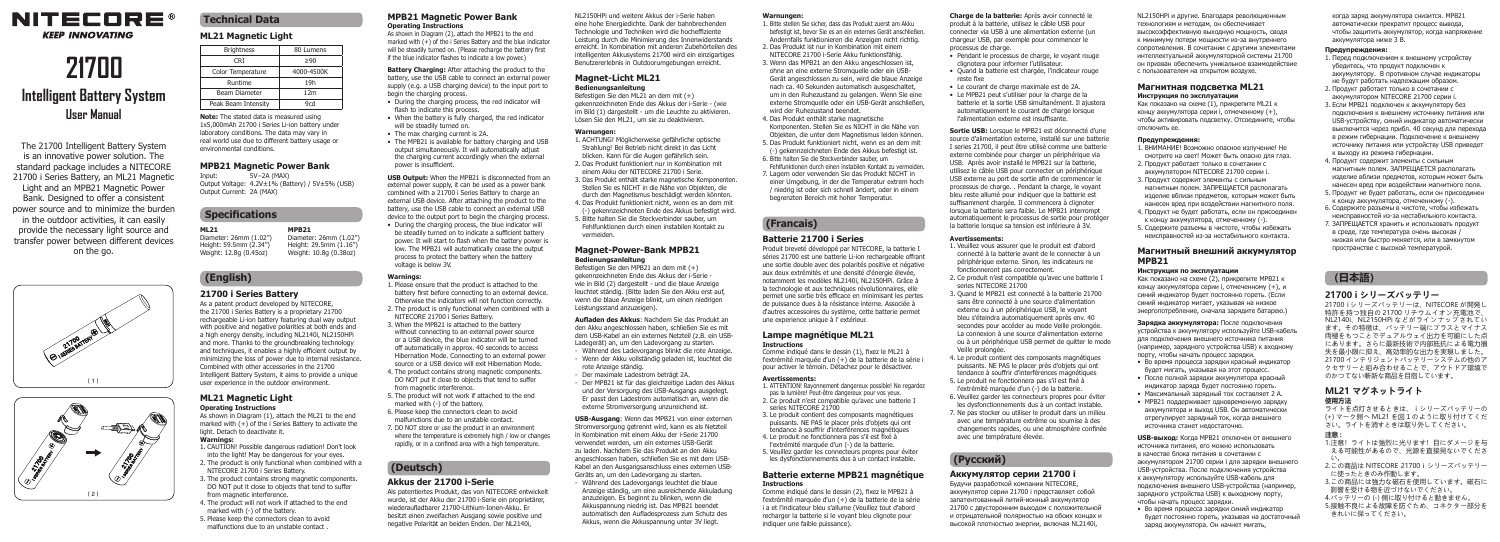

#### **KFFP INNOVATING**

# **21700**

# **Intelligent Battery System User Manual**

The 21700 Intelligent Battery System is an innovative power solution. The standard package includes a NITECORE 21700 i Series Battery, an ML21 Magnetic Light and an MPB21 Magnetic Power Bank. Designed to offer a consistent power source and to minimize the burden in the outdoor activities, it can easily provide the necessary light source and transfer power between different devices on the go.





## **Technical Data ML21 Magnetic Light**

**Specifications**

Output Current: 2A (MAX)

environmental conditions.

**MPB21 Magnetic Power Bank** Input: 5V⎓2A (MAX) Output Voltage: 4.2V±1% (Battery) / 5V±5% (USB)

Combined with other accessories in the 21700

user experience in the outdoor environment. **ML21 Magnetic Light Operating Instructions**

light. Detach to deactivate it. **Warnings:**

As shown in Diagram (1), attach the ML21 to the end marked with (+) of the i Series Battery to activate the

1. CAUTION! Possible dangerous radiation! Don't look into the light! May be dangerous for your eyes. 2. The product is only functional when combined with a NITECORE 21700 i Series Battery.

5. Please keep the connectors clean to avoid malfunctions due to an unstable contact .

Brightness 80 Lumens  $CRI \geq 90$ Color Temperature 4000-4500K Runtime 19h Beam Diameter 12m Peak Beam Intensity 9cd **Note:** The stated data is measured using 1x5,000mAh 21700 i Series Li-ion battery under laboratory conditions. The data may vary in real world use due to different battery usage or

> **MPB21** Diameter: 26mm (1.02") Height: 29.5mm (1.16") Weight: 10.8g (0.38oz)

**ML21** Diameter: 26mm (1.02") Height: 59.5mm (2.34") Weight: 12.8g (0.45oz)

**(English) 21700 i Series Battery** As a patent product developed by NITECORE. the 21700 i Series Battery is a proprietary 21700 As shown in Diagram (2), attach the MPB21 to the end marked with (+) of the i Series Battery and the blue indicator will be steadily turned on. (Please recharge the battery first if the blue indicator flashes to indicate a low power.)

**Battery Charging:** After attaching the product to the battery, use the USB cable to connect an external power supply (e.g. a USB charging device) to the input port to begin the charging process. • During the charging process, the red indicator will

- flash to indicate this process. • When the battery is fully charged, the red indicator
- will be steadily turned on • The max charging current is 2A.
- The MPB21 is available for battery charging and USB output simultaneously. It will automatically adjust the charging current accordingly when the external

**USB Output:** When the MPB21 is disconnected from an external power supply, it can be used as a power bank combined with a 21700 i Series Battery to charge an external USB device. After attaching the product to the battery, use the USB cable to connect an external USB device to the output port to begin the charging process. • During the charging process, the blue indicator will be steadily turned on to indicate a sufficient battery

power. It will start to flash when the battery power is low. The MPB21 will automatically cease the output process to protect the battery when the battery voltage is below 3V.

rechargeable Li-ion battery featuring dual way output with positive and negative polarities at both ends and a high energy density, including NL2140i, NL2150HPi and more. Thanks to the groundbreaking technology and techniques, it enables a highly efficient output by minimizing the loss of power due to internal resistance. Intelligent Battery System, it aims to provide a unique NITECORE 21700 i Series Battery. from magnetic interference. 5. The product will not work if attached to the end

> 6. Please keep the connectors clean to avoid malfunctions due to an unstable contact. 7. DO NOT store or use the product in an environment where the temperature is extremely high / low or changes rapidly, or in a confined area with a high temperature.

# **(Deutsch)**

3. The product contains strong magnetic components. DO NOT put it close to objects that tend to suffer from magnetic interference. 4. The product will not work if attached to the end marked with (-) of the battery.

#### **MPB21 Magnetic Power Bank Operating Instructions**

- 
- 
- power is insufficient.

### **Warnings:**

1. Please ensure that the product is attached to the battery first before connecting to an external device. Otherwise the indicators will not function correctly. 2. The product is only functional when combined with a 3. When the MPB21 is attached to the battery without connecting to an external power source or a USB device, the blue indicator will be turned off automatically in approx. 40 seconds to access Hibernation Mode. Connecting to an external power source or a USB device will exit Hibernation Mode. 4. The product contains strong magnetic components. DO NOT put it close to objects that tend to suffer

- marked with (-) of the battery.
	- verwendet werden, um ein externes USB-Gerät zu laden. Nachdem Sie das Produkt an den Akku angeschlossen haben, schließen Sie es mit dem USB-

#### **Akkus der 21700 i-Serie**

Als patentiertes Produkt, das von NITECORE entwickelt wurde, ist der Akku der 21700 i-Serie ein proprietärer, wiederaufladbarer 21700-Lithium-Ionen-Akku. Er besitzt einen zweifachen Ausgang sowie positive und negative Polarität an beiden Enden. Der NL2140i,

eine hohe Energiedichte. Dank der bahnbrechenden **Warnungen:**

NL2150HPi und weitere Akkus der i-Serie haben

Benutzererlebnis in Outdoorumgebungen erreicht.

1. ACHTUNG! Möglicherweise gefährliche optische Strahlung! Bei Betrieb nicht direkt in das Licht blicken. Kann für die Augen gefährlich sein. 2. Das Produkt funktioniert nur in Kombination mit einem Akku der NITECORE 21700 i Serie. 3. Das Produkt enthält starke magnetische Komponenten. Stellen Sie es NICHT in die Nähe von Objekten, die durch den Magnetismus beschädigt werden könnten. 4. Das Produkt funktioniert nicht, wenn es an dem mit (-) gekennzeichneten Ende des Akkus befestigt wird. 5. Bitte halten Sie die Steckverbinder sauber, um Fehlfunktionen durch einen instabilen Kontakt zu

**Magnet-Power-Bank MPB21 Bedienungsanleitung** Befestigen Sie den MPB21 an dem mit (+) gekennzeichneten Ende des Akkus der i-Serie wie in Bild (2) dargestellt - und die blaue Anzeige leuchtet ständig. (Bitte laden Sie den Akku erst auf, wenn die blaue Anzeige blinkt, um einen niedrigen

**Aufladen des Akkus**: Nachdem Sie das Produkt an den Akku angeschlossen haben, schließen Sie es mit dem USB-Kabel an ein externes Netzteil (z.B. ein USB-Ladegerät) an, um den Ladevorgang zu starten. - Während des Ladevorgangs blinkt die rote Anzeige. - Wenn der Akku vollständig geladen ist, leuchtet die

Kabel an den Ausgangsanschluss eines externen USB-Geräts an, um den Ladevorgang zu starten. - Während des Ladevorgangs leuchtet die blaue Anzeige ständig, um eine ausreichende Akkuladung anzuzeigen. Es beginnt zu blinken, wenn die Akkuspannung niedrig ist. Das MPB21 beendet automatisch den Aufladesprozess zum Schutz des Akkus, wenn die Akkuspannung unter 3V liegt.

**Magnet-Licht ML21 Bedienungsanleitung** Befestigen Sie den ML21 an dem mit (+) gekennzeichneten Ende des Akkus der i-Serie - (wie im Bild (1) dargestellt - um die Leuchte zu aktivieren. Lösen Sie den ML21, um sie zu deaktivieren.

**Warnungen:**

vermeiden.

Leistungsstand anzuzeigen).

rote Anzeige ständig. - Der maximale Ladestrom beträgt 2A. - Der MPB21 ist für das gleichzeitige Laden des Akkus und der Versorgung des USB-Ausgangs ausgelegt. Er passt den Ladestrom automatisch an, wenn die externe Stromversorgung unzureichend ist. **USB-Ausgang**: Wenn das MPB21 von einer externen Stromversorgung getrennt wird, kann es als Netzteil in Kombination mit einem Akku der i-Serie 21700

Technologie und Techniken wird die hocheffiziente Leistung durch die Minimierung des Innenwiderstands erreicht. In Kombination mit anderen Zubehörteilen des intelligenten Akkusystems 21700 wird ein einzigartiges 1. Bitte stellen Sie sicher, dass das Produkt zuerst am Akku befestigt ist, bevor Sie es an ein externes Gerät anschließen. Andernfalls funktionieren die Anzeigen nicht richtig. 2. Das Produkt ist nur in Kombination mit einem

NITECORE 21700 i-Serie Akku funktionsfähig. 3. Wenn das MPB21 an den Akku angeschlossen ist, ohne an eine externe Stromquelle oder ein USB-Gerät angeschlossen zu sein, wird die blaue Anzeige nach ca. 40 Sekunden automatisch ausgeschaltet um in den Ruhezustand zu gelangen. Wenn Sie eine externe Stromquelle oder ein USB-Gerät anschließen, wird der Ruhezustand beendet.

4. Das Produkt enthält starke magnetische Komponenten. Stellen Sie es NICHT in die Nähe von Objekten, die unter dem Magnetismus leiden können. 5. Das Produkt funktioniert nicht, wenn es an dem mit (-) gekennzeichneten Ende des Akkus befestigt ist. 6. Bitte halten Sie die Steckverbinder sauber, um Fehlfunktionen durch einen instabilen Kontakt zu vermeiden. 7. Lagern oder verwenden Sie das Produkt NICHT in einer Umgebung, in der die Temperatur extrem hoch / niedrig ist oder sich schnell ändert, oder in einem

**(Francais)** 

#### **Batterie 21700 i Series**

begrenzten Bereich mit hoher Temperatur.

Produit breveté développé par NITECORE, la batterie I séries 21700 est une batterie Li-ion rechargeable offrant une sortie double avec des polarités positive et négative aux deux extrémités et une densité d'énergie élevée, notamment les modèles NL2140i, NL2150HPi. Grâce à la technologie et aux techniques révolutionnaires, elle permet une sortie très efficace en minimisant les pertes de puissance dues à la résistance interne. Associée à d'autres accessoires du système, cette batterie permet une experience unique à l' extérieur.

#### **Lampe magnétique ML21 Instructions**

Comme indiqué dans le dessin (1), fixez le ML21 à l'extrémité marquée d'un (+) de la batterie de la série i pour activer le témoin. Détachez pour le désactiver.

#### **Avertissements:**

1. ATTENTION! Rayonnement dangereux possible! Ne regardez pas la lumière! Peut-être dangereux pour vos yeux. 2. Ce produit n'est compatible qu'avec une batterie I series NITECORE 21700

3. Le produit contient des composants magnétiques puissants. NE PAS le placer près d'objets qui ont tendance à souffrir d'interférences magnétiques 4. Le produit ne fonctionnera pas s'il est fixé à l'extrémité marquée d'un (-) de la batterie.

5. Veuillez garder les connecteurs propres pour éviter les dysfonctionnements dus à un contact instable.

#### **Batterie externe MPB21 magnétique Instructions**

Comme indiqué dans le dessin (2), fixez le MPB21 à l'extrémité marquée d'un (+) de la batterie de la série i a et l'indicateur bleu s'allume (Veuillez tout d'abord recharger la batterie si le voyant bleu clignote pour indiquer une faible puissance).

**Charge de la batterie:** Après avoir connecté le produit à la batterie, utilisez le câble USB pour connecter via USB à une alimentation externe (un chargeur USB, par exemple pour commencer le processus de charge.

- Pendant le processus de charge, le voyant rouge clignotera pour informer l'utilisateur.
- Quand la batterie est chargée, l'indicateur rouge reste fixe
- Le courant de charge maximale est de 2A. • Le MPB21 peut s'utiliser pour la charge de la batterie et la sortie USB simultanément. Il ajustera automatiquement le courant de charge lorsque l'alimentation externe est insuffisante.

**Sortie USB:** Lorsque le MPB21 est déconnecté d'une source d'alimentation externe, installé sur une batterie I series 21700, il peut être utilisé comme une batterie externe combinée pour charger un périphérique via USB. Après avoir installé le MPB21 sur la batterie, utilisez le câble USB pour connecter un périphérique USB externe au port de sortie afin de commencer le processus de charge. . Pendant la charge, le voyant bleu reste allumé pour indiquer que la batterie est suffisamment chargée. Il commencera à clignoter lorsque la batterie sera faible. Le MPB21 interrompt automatiquement le processus de sortie pour protéger la batterie lorsque sa tension est inférieure à 3V.

**Avertissements:**

1. Veuillez vous assurer que le produit est d'abord connecté à la batterie avant de le connecter à un périphérique externe. Sinon, les indicateurs ne fonctionneront pas correctement. 2. Ce produit n'est compatible qu'avec une batterie I series NITECORE 21700

3. Quand le MPB21 est connecté à la batterie 21700 sans être connecté à une source d'alimentation externe ou à un périphérique USB, le voyant bleu s'éteindra automatiquement après env. 40 secondes pour accéder au mode Veille prolongée. La connexion à une source d'alimentation externe ou à un périphérique USB permet de quitter le mode Veille prolongée.

4. Le produit contient des composants magnétiques puissants. NE PAS le placer près d'objets qui ont tendance à souffrir d'interférences magnétiques 5. Le produit ne fonctionnera pas s'il est fixé à l'extrémité marquée d'un (-) de la batterie. 6. Veuillez garder les connecteurs propres pour éviter les dysfonctionnements dus à un contact instable. 7. Ne pas stocker ou utiliser le produit dans un milieu avec une température extrême ou soumise à des changements rapides, ou une atmosphère confinée

**(Русский)** 

avec une température élevée.

# **Аккумулятор серии 21700 i** Будучи разработкой компании NITECORE,

аккумулятор серии 21700 i представляет собой запатентованный литий-ионный аккумулятор 21700 с двусторонним выходом с положительной и отрицательной полярностью на обоих концах и высокой плотностью энергии, включая NL2140i,

NL2150HPi и другие. Благодаря революционным технологиям и методам, он обеспечивает высокоэффективную выходную мощность, сводя к минимуму потери мощности из-за внутреннего сопротивления. В сочетании с другими элементами интеллектуальной аккумуляторной системы 21700 он призван обеспечить уникальное взаимодействие с пользователем на открытом воздухе.

### **Магнитная подсветка ML21**

**Инструкция по эксплуатации** Как показано на схеме (1), прикрепите ML21 к концу аккумулятора серии i, отмеченному (+), чтобы активировать подсветку. Отсоедините, чтобы отключить ее.

#### **Предупреждения:**

1. ВНИМАНИЕ! Возможно опасное излучение! Не смотрите на свет! Может быть опасно для глаз. 2. Продукт работает только в сочетании с аккумулятором NITECORE 21700 серии i. 3. Продукт содержит элементы с сильным магнитным полем. ЗАПРЕЩАЕТСЯ располагать изделие вблизи предметов, которым может быть нанесен вред при воздействии магнитного поля. 4. Продукт не будет работать, если он присоединен к концу аккумулятора, отмеченному (-). 5. Содержите разъемы в чистоте, чтобы избежать неисправностей из-за нестабильного контакта.

#### **Магнитный внешний аккумулятор MPB21**

#### **Инструкция по эксплуатации**

Как показано на схеме (2), прикрепите MPB21 к концу аккумулятора серии i, отмеченному (+), и синий индикатор будет постоянно гореть. (Если синий индикатор мигает, указывая на низкое энергопотребление, сначала зарядите батарею.)

**Зарядка аккумулятора:** После подключения устройства к аккумулятору используйте USB-кабель для подключения внешнего источника питания (например, зарядного устройства USB) к входному порту, чтобы начать процесс зарядки.

- Во время процесса зарядки красный индикатор будет мигать, указывая на этот процесс.
- После полной зарядки аккумулятора красный индикатор заряда будет постоянно гореть.
- Максимальный зарядный ток составляет 2 А. • MPB21 поддерживает одновременную зарядку
- аккумулятора и выход USB. Он автоматически отрегулирует зарядный ток, когда внешнего источника станет недостаточно.

**USB-выход:** Когда MPB21 отключен от внешнего источника питания, его можно использовать в качестве блока питания в сочетании с аккумулятором 21700 серии i для зарядки внешнего USB-устройства. После подключения устройства к аккумулятору используйте USB-кабель для подключения внешнего USB-устройства (например, зарядного устройства USB) к выходному порту, чтобы начать процесс зарядки.

• Во время процесса зарядки синий индикатор будет постоянно гореть, указывая на достаточный заряд аккумулятора. Он начнет мигать,

когда заряд аккумулятора снизится. MPB21 автоматически прекратит процесс вывода, чтобы защитить аккумулятор, когда напряжение аккумулятора ниже 3 В.

#### **Предупреждения:**

1. Перед подключением к внешнему устройству убедитесь, что продукт подключен к аккумулятору. В противном случае индикаторы не будут работать надлежащим образом. 2. Продукт работает только в сочетании с аккумулятором NITECORE 21700 серии i. 3. Если MPB21 подключен к аккумулятору без подключения к внешнему источнику питания или USB-устройству, синий индикатор автоматически выключится через прибл. 40 секунд для перехода в режим гибернации. Подключение к внешнему источнику питания или устройству USB приведет к выходу из режима гибернации. 4. Продукт содержит элементы с сильным магнитным полем. ЗАПРЕЩАЕТСЯ располагать изделие вблизи предметов, которым может быть нанесен вред при воздействии магнитного поля. 5. Продукт не будет работать, если он присоединен

к концу аккумулятора, отмеченному (-). 6. Содержите разъемы в чистоте, чтобы избежать неисправностей из-за нестабильного контакта. 7. ЗАПРЕЩАЕТСЯ хранить и использовать продукт в среде, где температура очень высокая / низкая или быстро меняется, или в замкнутом пространстве с высокой температурой.

### **(日本語)**

#### **21700 i シリーズバッテリー**

21700 i シリーズバッテリーは、NITECORE が開発し 特許を持つ独自の 21700 リチウムイオン充電池で、 NL2140i、NL2150HPi などがラインナップされてい ます。その特徴は、バッテリー端にプラスとマイナス 両極をもつことでデュアルウェイ出力を可能にした点 にあります。さらに最新技術で内部抵抗による電力損 失を最小限に抑え、高効率的な出力を実現しました。 21700 インテリジェントバッテリーシステムの他のア クセサリーと組み合わせることで、アウトドア環境で のかつてない斬新な商品を目指しています。

**ML21 マグネットライト 使用方法**

ライトを点灯させるときは、 i シリーズバッテリーの (+) マーク側へ ML21 を図1のように取り付けてくだ さい。ライトを消すときは取り外してください。

**注意 :** 1.注意!ライトは強烈に光ります!目にダメージを与 える可能性があるので、光源を直接見ないでくださ

い。 2.この商品は NITECORE 21700 i シリーズバッテリー に使ったときのみ作動します。 3.この商品には強力な磁石を使用しています。磁石に 影響を受ける物を近づけないでください。 4.バッテリーの (-) 側に取り付けると動きません。 5.接触不良による故障を防ぐため、コネクター部分を きれいに保ってください。